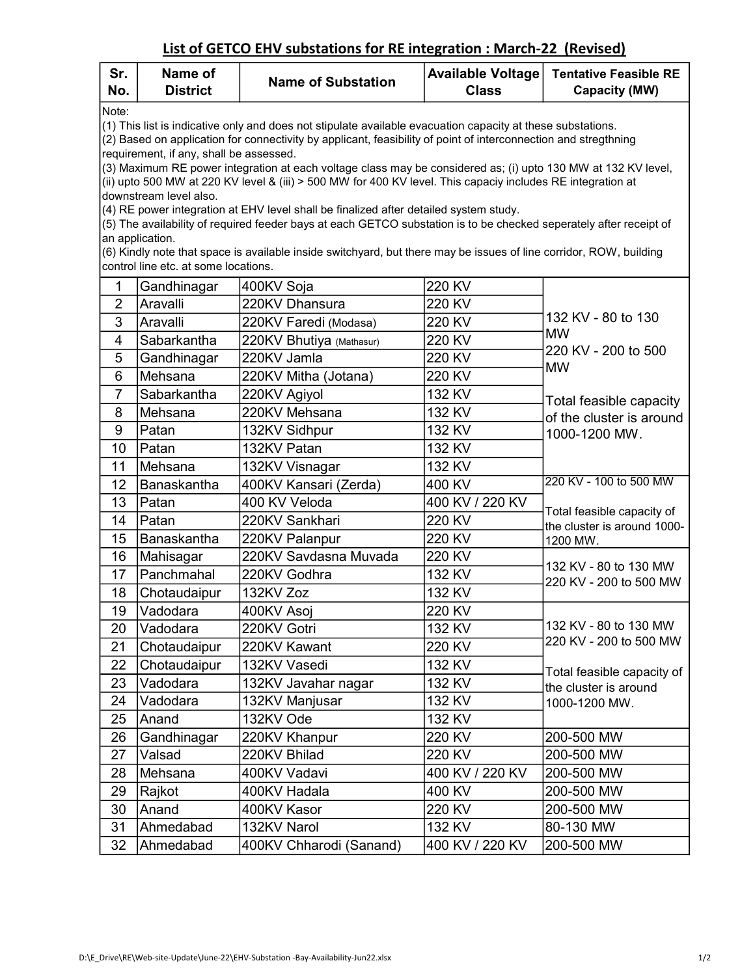## List of GETCO EHV substations for RE integration : March-22 (Revised)

| Sr.<br>No.                                                                                                                                                                                                                                                                                                                                                                                                                                                                                    | Name of<br><b>District</b> | <b>Name of Substation</b> | <b>Available Voltage</b><br><b>Class</b> | <b>Tentative Feasible RE</b><br><b>Capacity (MW)</b>                                            |  |  |  |  |
|-----------------------------------------------------------------------------------------------------------------------------------------------------------------------------------------------------------------------------------------------------------------------------------------------------------------------------------------------------------------------------------------------------------------------------------------------------------------------------------------------|----------------------------|---------------------------|------------------------------------------|-------------------------------------------------------------------------------------------------|--|--|--|--|
| Note:<br>(1) This list is indicative only and does not stipulate available evacuation capacity at these substations.<br>(2) Based on application for connectivity by applicant, feasibility of point of interconnection and stregthning<br>requirement, if any, shall be assessed.<br>(3) Maximum RE power integration at each voltage class may be considered as; (i) upto 130 MW at 132 KV level,                                                                                           |                            |                           |                                          |                                                                                                 |  |  |  |  |
| (ii) upto 500 MW at 220 KV level & (iii) > 500 MW for 400 KV level. This capaciy includes RE integration at<br>downstream level also.<br>(4) RE power integration at EHV level shall be finalized after detailed system study.<br>(5) The availability of required feeder bays at each GETCO substation is to be checked seperately after receipt of<br>an application.<br>(6) Kindly note that space is available inside switchyard, but there may be issues of line corridor, ROW, building |                            |                           |                                          |                                                                                                 |  |  |  |  |
| control line etc. at some locations.                                                                                                                                                                                                                                                                                                                                                                                                                                                          |                            |                           |                                          |                                                                                                 |  |  |  |  |
| 1                                                                                                                                                                                                                                                                                                                                                                                                                                                                                             | Gandhinagar                | 400KV Soja                | 220 KV                                   |                                                                                                 |  |  |  |  |
| $\overline{2}$                                                                                                                                                                                                                                                                                                                                                                                                                                                                                | Aravalli                   | 220KV Dhansura            | 220 KV                                   |                                                                                                 |  |  |  |  |
| 3                                                                                                                                                                                                                                                                                                                                                                                                                                                                                             | Aravalli                   | 220KV Faredi (Modasa)     | 220 KV                                   | 132 KV - 80 to 130                                                                              |  |  |  |  |
| 4                                                                                                                                                                                                                                                                                                                                                                                                                                                                                             | Sabarkantha                | 220KV Bhutiya (Mathasur)  | 220 KV                                   | <b>MW</b>                                                                                       |  |  |  |  |
| 5                                                                                                                                                                                                                                                                                                                                                                                                                                                                                             | Gandhinagar                | 220KV Jamla               | 220 KV                                   | 220 KV - 200 to 500<br><b>MW</b>                                                                |  |  |  |  |
| 6                                                                                                                                                                                                                                                                                                                                                                                                                                                                                             | Mehsana                    | 220KV Mitha (Jotana)      | 220 KV                                   |                                                                                                 |  |  |  |  |
| $\overline{7}$                                                                                                                                                                                                                                                                                                                                                                                                                                                                                | Sabarkantha                | 220KV Agiyol              | 132 KV                                   | Total feasible capacity                                                                         |  |  |  |  |
| 8                                                                                                                                                                                                                                                                                                                                                                                                                                                                                             | Mehsana                    | 220KV Mehsana             | 132 KV                                   | of the cluster is around<br>1000-1200 MW.                                                       |  |  |  |  |
| 9                                                                                                                                                                                                                                                                                                                                                                                                                                                                                             | Patan                      | 132KV Sidhpur             | 132 KV                                   |                                                                                                 |  |  |  |  |
| 10                                                                                                                                                                                                                                                                                                                                                                                                                                                                                            | Patan                      | 132KV Patan               | 132 KV                                   |                                                                                                 |  |  |  |  |
| 11                                                                                                                                                                                                                                                                                                                                                                                                                                                                                            | Mehsana                    | 132KV Visnagar            | 132 KV                                   |                                                                                                 |  |  |  |  |
| 12                                                                                                                                                                                                                                                                                                                                                                                                                                                                                            | Banaskantha                | 400KV Kansari (Zerda)     | 400 KV                                   | 220 KV - 100 to 500 MW<br>Total feasible capacity of<br>the cluster is around 1000-<br>1200 MW. |  |  |  |  |
| 13                                                                                                                                                                                                                                                                                                                                                                                                                                                                                            | Patan                      | 400 KV Veloda             | 400 KV / 220 KV                          |                                                                                                 |  |  |  |  |
| 14                                                                                                                                                                                                                                                                                                                                                                                                                                                                                            | Patan                      | 220KV Sankhari            | 220 KV                                   |                                                                                                 |  |  |  |  |
| 15                                                                                                                                                                                                                                                                                                                                                                                                                                                                                            | Banaskantha                | 220KV Palanpur            | 220 KV                                   |                                                                                                 |  |  |  |  |
| 16                                                                                                                                                                                                                                                                                                                                                                                                                                                                                            | Mahisagar                  | 220KV Savdasna Muvada     | 220 KV                                   | 132 KV - 80 to 130 MW<br>220 KV - 200 to 500 MW                                                 |  |  |  |  |
| 17                                                                                                                                                                                                                                                                                                                                                                                                                                                                                            | Panchmahal                 | 220KV Godhra              | 132 KV                                   |                                                                                                 |  |  |  |  |
| 18                                                                                                                                                                                                                                                                                                                                                                                                                                                                                            | Chotaudaipur               | 132KV Zoz                 | 132 KV                                   |                                                                                                 |  |  |  |  |
| 19                                                                                                                                                                                                                                                                                                                                                                                                                                                                                            | Vadodara                   | 400KV Asoj                | 220 KV                                   | 132 KV - 80 to 130 MW<br>220 KV - 200 to 500 MW                                                 |  |  |  |  |
| 20                                                                                                                                                                                                                                                                                                                                                                                                                                                                                            | Vadodara                   | 220KV Gotri               | 132 KV                                   |                                                                                                 |  |  |  |  |
| 21                                                                                                                                                                                                                                                                                                                                                                                                                                                                                            | Chotaudaipur               | 220KV Kawant              | 220 KV                                   |                                                                                                 |  |  |  |  |
| 22                                                                                                                                                                                                                                                                                                                                                                                                                                                                                            | Chotaudaipur               | 132KV Vasedi              | 132 KV                                   |                                                                                                 |  |  |  |  |
| 23                                                                                                                                                                                                                                                                                                                                                                                                                                                                                            | Vadodara                   | 132KV Javahar nagar       | 132 KV                                   | Total feasible capacity of<br>the cluster is around<br>1000-1200 MW.                            |  |  |  |  |
| 24                                                                                                                                                                                                                                                                                                                                                                                                                                                                                            | Vadodara                   | 132KV Manjusar            | 132 KV                                   |                                                                                                 |  |  |  |  |
| 25                                                                                                                                                                                                                                                                                                                                                                                                                                                                                            | Anand                      | 132KV Ode                 | 132 KV                                   |                                                                                                 |  |  |  |  |
| 26                                                                                                                                                                                                                                                                                                                                                                                                                                                                                            | Gandhinagar                | 220KV Khanpur             | 220 KV                                   | 200-500 MW                                                                                      |  |  |  |  |
| 27                                                                                                                                                                                                                                                                                                                                                                                                                                                                                            | Valsad                     | 220KV Bhilad              | 220 KV                                   | 200-500 MW                                                                                      |  |  |  |  |
| 28                                                                                                                                                                                                                                                                                                                                                                                                                                                                                            | Mehsana                    | 400KV Vadavi              | 400 KV / 220 KV                          | 200-500 MW                                                                                      |  |  |  |  |
| 29                                                                                                                                                                                                                                                                                                                                                                                                                                                                                            | Rajkot                     | 400KV Hadala              | 400 KV                                   | 200-500 MW                                                                                      |  |  |  |  |
| 30                                                                                                                                                                                                                                                                                                                                                                                                                                                                                            | Anand                      | 400KV Kasor               | 220 KV                                   | 200-500 MW                                                                                      |  |  |  |  |
| 31                                                                                                                                                                                                                                                                                                                                                                                                                                                                                            | Ahmedabad                  | 132KV Narol               | 132 KV                                   | 80-130 MW                                                                                       |  |  |  |  |
| 32                                                                                                                                                                                                                                                                                                                                                                                                                                                                                            | Ahmedabad                  | 400KV Chharodi (Sanand)   | 400 KV / 220 KV                          | 200-500 MW                                                                                      |  |  |  |  |